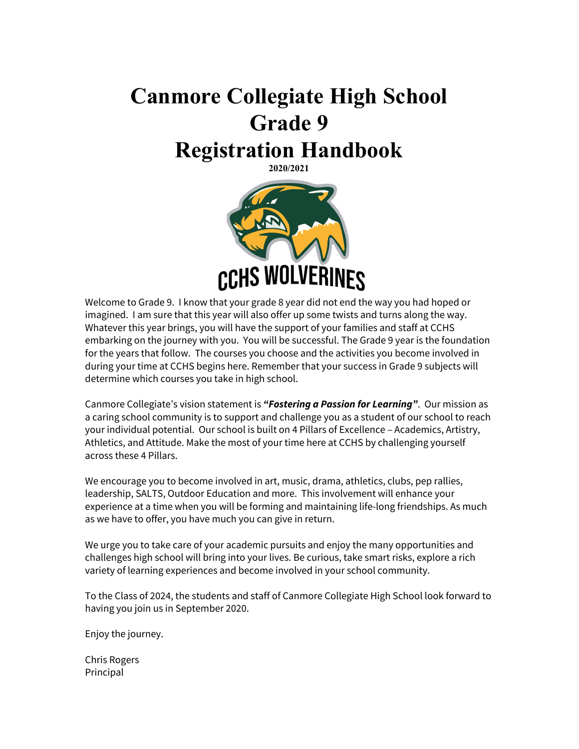# **Canmore Collegiate High School Grade 9 Registration Handbook 2020/2021**

CCHS WOLVERINES

Welcome to Grade 9. I know that your grade 8 year did not end the way you had hoped or imagined. I am sure that this year will also offer up some twists and turns along the way. Whatever this year brings, you will have the support of your families and staff at CCHS embarking on the journey with you. You will be successful. The Grade 9 year is the foundation for the years that follow. The courses you choose and the activities you become involved in during your time at CCHS begins here. Remember that your success in Grade 9 subjects will determine which courses you take in high school.

Canmore Collegiate's vision statement is *"Fostering a Passion for Learning"*. Our mission as a caring school community is to support and challenge you as a student of our school to reach your individual potential. Our school is built on 4 Pillars of Excellence – Academics, Artistry, Athletics, and Attitude. Make the most of your time here at CCHS by challenging yourself across these 4 Pillars.

We encourage you to become involved in art, music, drama, athletics, clubs, pep rallies, leadership, SALTS, Outdoor Education and more. This involvement will enhance your experience at a time when you will be forming and maintaining life-long friendships. As much as we have to offer, you have much you can give in return.

We urge you to take care of your academic pursuits and enjoy the many opportunities and challenges high school will bring into your lives. Be curious, take smart risks, explore a rich variety of learning experiences and become involved in your school community.

To the Class of 2024, the students and staff of Canmore Collegiate High School look forward to having you join us in September 2020.

Enjoy the journey.

Chris Rogers Principal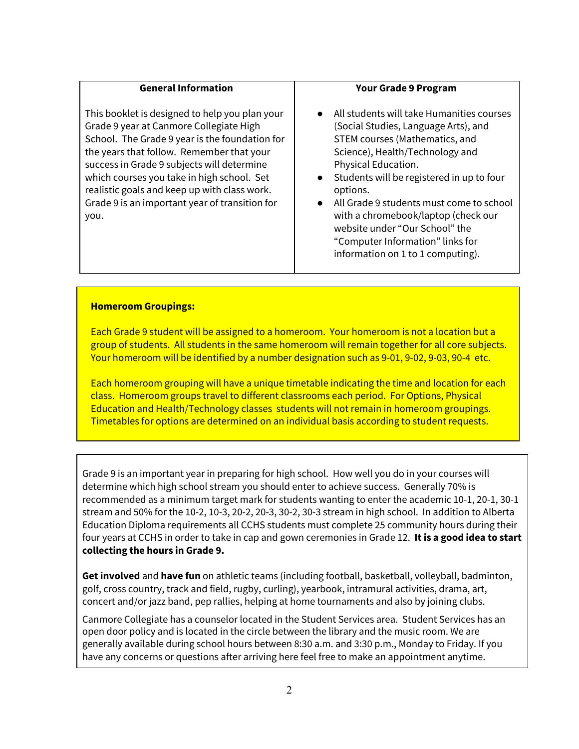#### **General Information**

This booklet is designed to help you plan your Grade 9 year at Canmore Collegiate High School. The Grade 9 year is the foundation for the years that follow. Remember that your success in Grade 9 subjects will determine which courses you take in high school. Set realistic goals and keep up with class work. Grade 9 is an important year of transition for you.

#### **Your Grade 9 Program**

- All students will take Humanities courses (Social Studies, Language Arts), and STEM courses (Mathematics, and Science), Health/Technology and Physical Education.
- Students will be registered in up to four options.
- All Grade 9 students must come to school with a chromebook/laptop (check our website under "Our School" the "Computer Information" links for information on 1 to 1 computing).

#### **Homeroom Groupings:**

Each Grade 9 student will be assigned to a homeroom. Your homeroom is not a location but a group of students. All students in the same homeroom will remain together for all core subjects. Your homeroom will be identified by a number designation such as 9-01, 9-02, 9-03, 90-4 etc.

Each homeroom grouping will have a unique timetable indicating the time and location for each class. Homeroom groups travel to different classrooms each period. For Options, Physical Education and Health/Technology classes students will not remain in homeroom groupings. Timetables for options are determined on an individual basis according to student requests.

Grade 9 is an important year in preparing for high school. How well you do in your courses will determine which high school stream you should enter to achieve success. Generally 70% is recommended as a minimum target mark for students wanting to enter the academic 10-1, 20-1, 30-1 stream and 50% for the 10-2, 10-3, 20-2, 20-3, 30-2, 30-3 stream in high school. In addition to Alberta Education Diploma requirements all CCHS students must complete 25 community hours during their four years at CCHS in order to take in cap and gown ceremonies in Grade 12. **It is a good idea to start collecting the hours in Grade 9.**

**Get involved** and **have fun** on athletic teams (including football, basketball, volleyball, badminton, golf, cross country, track and field, rugby, curling), yearbook, intramural activities, drama, art, concert and/or jazz band, pep rallies, helping at home tournaments and also by joining clubs.

Canmore Collegiate has a counselor located in the Student Services area. Student Services has an open door policy and is located in the circle between the library and the music room. We are generally available during school hours between 8:30 a.m. and 3:30 p.m., Monday to Friday. If you have any concerns or questions after arriving here feel free to make an appointment anytime.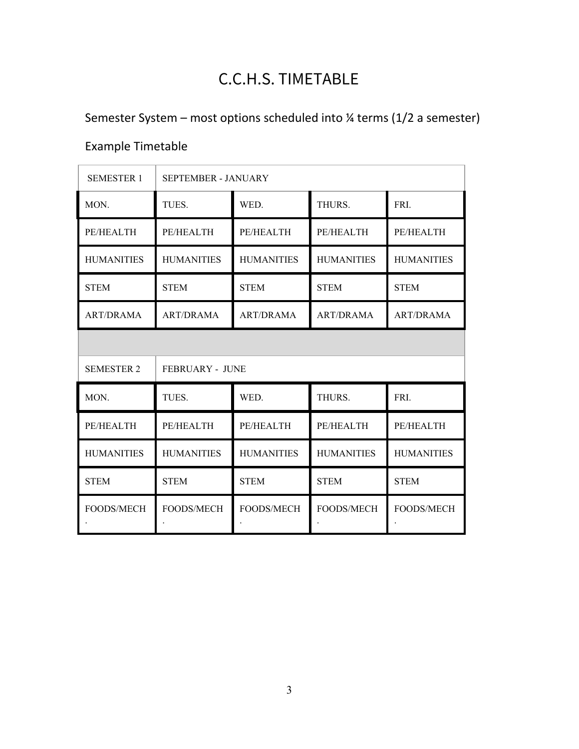# C.C.H.S. TIMETABLE

Semester System – most options scheduled into ¼ terms (1/2 a semester)

# Example Timetable

| <b>SEMESTER 1</b> | <b>SEPTEMBER - JANUARY</b> |                   |                   |                   |  |
|-------------------|----------------------------|-------------------|-------------------|-------------------|--|
| MON.              | TUES.                      | WED.              | THURS.            | FRI.              |  |
| PE/HEALTH         | PE/HEALTH                  | PE/HEALTH         | PE/HEALTH         | PE/HEALTH         |  |
| <b>HUMANITIES</b> | <b>HUMANITIES</b>          | <b>HUMANITIES</b> | <b>HUMANITIES</b> | <b>HUMANITIES</b> |  |
| <b>STEM</b>       | <b>STEM</b>                | <b>STEM</b>       | <b>STEM</b>       | <b>STEM</b>       |  |
| <b>ART/DRAMA</b>  | <b>ART/DRAMA</b>           | <b>ART/DRAMA</b>  | <b>ART/DRAMA</b>  | <b>ART/DRAMA</b>  |  |
|                   |                            |                   |                   |                   |  |
| <b>SEMESTER 2</b> | <b>FEBRUARY - JUNE</b>     |                   |                   |                   |  |
| MON.              | TUES.                      | WED.              | THURS.            | FRI.              |  |
| PE/HEALTH         | PE/HEALTH                  | PE/HEALTH         | PE/HEALTH         | PE/HEALTH         |  |
| <b>HUMANITIES</b> | <b>HUMANITIES</b>          | <b>HUMANITIES</b> | <b>HUMANITIES</b> | <b>HUMANITIES</b> |  |
| <b>STEM</b>       | <b>STEM</b>                | <b>STEM</b>       | <b>STEM</b>       | <b>STEM</b>       |  |
| FOODS/MECH        | <b>FOODS/MECH</b>          | <b>FOODS/MECH</b> | FOODS/MECH        | FOODS/MECH        |  |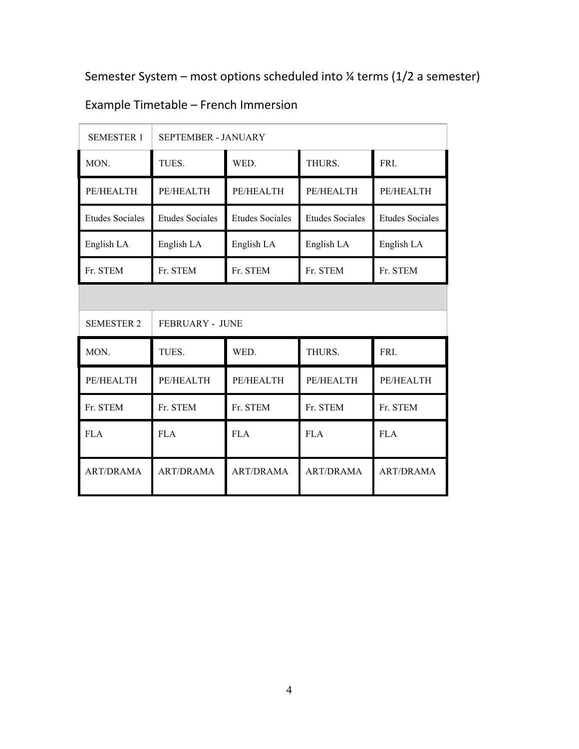Semester System – most options scheduled into ¼ terms (1/2 a semester)

| <b>SEMESTER 1</b>      | SEPTEMBER - JANUARY    |                        |                        |                        |  |  |
|------------------------|------------------------|------------------------|------------------------|------------------------|--|--|
| MON.                   | TUES.                  | WED.                   | THURS.                 | FRI.                   |  |  |
| PE/HEALTH              | PE/HEALTH              | PE/HEALTH              | PE/HEALTH              | PE/HEALTH              |  |  |
| <b>Etudes Sociales</b> | <b>Etudes Sociales</b> | <b>Etudes Sociales</b> | <b>Etudes Sociales</b> | <b>Etudes Sociales</b> |  |  |
| English LA             | English LA             | English LA             | English LA             | English LA             |  |  |
| Fr. STEM               | Fr. STEM               | Fr. STEM               | Fr. STEM               | Fr. STEM               |  |  |
|                        |                        |                        |                        |                        |  |  |
| <b>SEMESTER 2</b>      | <b>FEBRUARY - JUNE</b> |                        |                        |                        |  |  |
| MON.                   | TUES.                  | WED.                   | THURS.                 | FRI.                   |  |  |
| PE/HEALTH              | PE/HEALTH              | PE/HEALTH              | PE/HEALTH              | PE/HEALTH              |  |  |
| Fr. STEM               | Fr. STEM               | Fr. STEM               | Fr. STEM               | Fr. STEM               |  |  |
| <b>FLA</b>             | <b>FLA</b>             | <b>FLA</b>             | <b>FLA</b>             | <b>FLA</b>             |  |  |
| <b>ART/DRAMA</b>       | <b>ART/DRAMA</b>       | <b>ART/DRAMA</b>       | <b>ART/DRAMA</b>       | <b>ART/DRAMA</b>       |  |  |

# Example Timetable – French Immersion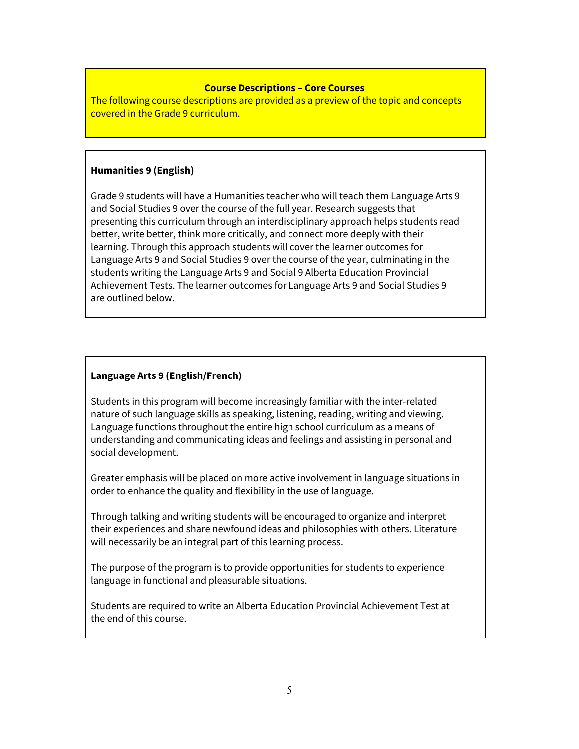#### **Course Descriptions – Core Courses**

The following course descriptions are provided as a preview of the topic and concepts covered in the Grade 9 curriculum.

#### **Humanities 9 (English)**

Grade 9 students will have a Humanities teacher who will teach them Language Arts 9 and Social Studies 9 over the course of the full year. Research suggests that presenting this curriculum through an interdisciplinary approach helps students read better, write better, think more critically, and connect more deeply with their learning. Through this approach students will cover the learner outcomes for Language Arts 9 and Social Studies 9 over the course of the year, culminating in the students writing the Language Arts 9 and Social 9 Alberta Education Provincial Achievement Tests. The learner outcomes for Language Arts 9 and Social Studies 9 are outlined below.

### **Language Arts 9 (English/French)**

Students in this program will become increasingly familiar with the inter-related nature of such language skills as speaking, listening, reading, writing and viewing. Language functions throughout the entire high school curriculum as a means of understanding and communicating ideas and feelings and assisting in personal and social development.

Greater emphasis will be placed on more active involvement in language situations in order to enhance the quality and flexibility in the use of language.

Through talking and writing students will be encouraged to organize and interpret their experiences and share newfound ideas and philosophies with others. Literature will necessarily be an integral part of this learning process.

The purpose of the program is to provide opportunities for students to experience language in functional and pleasurable situations.

Students are required to write an Alberta Education Provincial Achievement Test at the end of this course.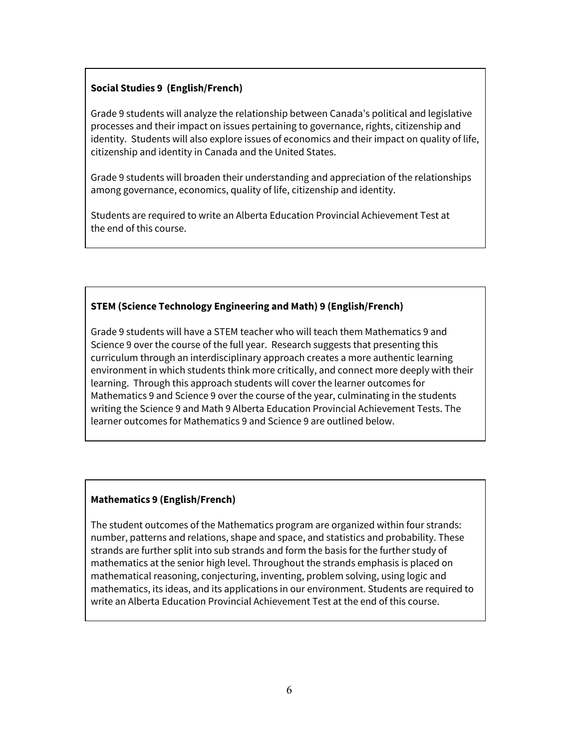## **Social Studies 9 (English/French)**

Grade 9 students will analyze the relationship between Canada's political and legislative processes and their impact on issues pertaining to governance, rights, citizenship and identity. Students will also explore issues of economics and their impact on quality of life, citizenship and identity in Canada and the United States.

Grade 9 students will broaden their understanding and appreciation of the relationships among governance, economics, quality of life, citizenship and identity.

Students are required to write an Alberta Education Provincial Achievement Test at the end of this course.

# **STEM (Science Technology Engineering and Math) 9 (English/French)**

Grade 9 students will have a STEM teacher who will teach them Mathematics 9 and Science 9 over the course of the full year. Research suggests that presenting this curriculum through an interdisciplinary approach creates a more authentic learning environment in which students think more critically, and connect more deeply with their learning. Through this approach students will cover the learner outcomes for Mathematics 9 and Science 9 over the course of the year, culminating in the students writing the Science 9 and Math 9 Alberta Education Provincial Achievement Tests. The learner outcomes for Mathematics 9 and Science 9 are outlined below.

### **Mathematics 9 (English/French)**

The student outcomes of the Mathematics program are organized within four strands: number, patterns and relations, shape and space, and statistics and probability. These strands are further split into sub strands and form the basis for the further study of mathematics at the senior high level. Throughout the strands emphasis is placed on mathematical reasoning, conjecturing, inventing, problem solving, using logic and mathematics, its ideas, and its applications in our environment. Students are required to write an Alberta Education Provincial Achievement Test at the end of this course.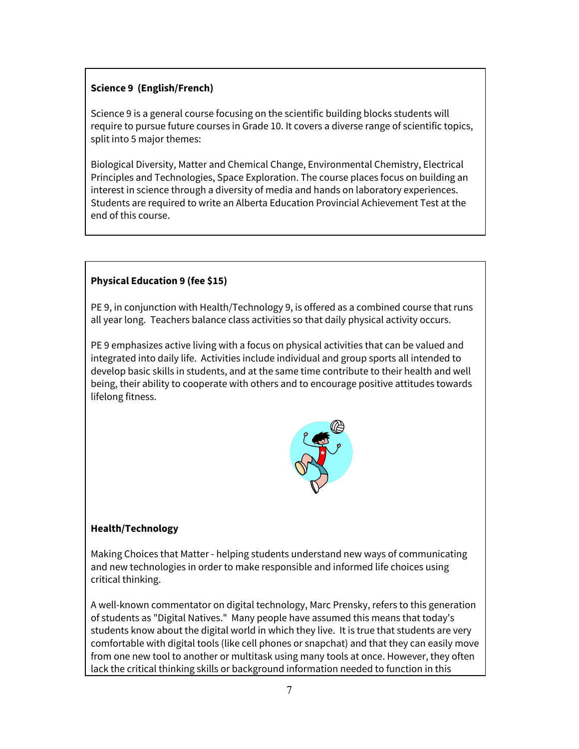# **Science 9 (English/French)**

Science 9 is a general course focusing on the scientific building blocks students will require to pursue future courses in Grade 10. It covers a diverse range of scientific topics, split into 5 major themes:

Biological Diversity, Matter and Chemical Change, Environmental Chemistry, Electrical Principles and Technologies, Space Exploration. The course places focus on building an interest in science through a diversity of media and hands on laboratory experiences. Students are required to write an Alberta Education Provincial Achievement Test at the end of this course.

# **Physical Education 9 (fee \$15)**

PE 9, in conjunction with Health/Technology 9, is offered as a combined course that runs all year long. Teachers balance class activities so that daily physical activity occurs.

PE 9 emphasizes active living with a focus on physical activities that can be valued and integrated into daily life. Activities include individual and group sports all intended to develop basic skills in students, and at the same time contribute to their health and well being, their ability to cooperate with others and to encourage positive attitudes towards lifelong fitness.



# **Health/Technology**

Making Choices that Matter - helping students understand new ways of communicating and new technologies in order to make responsible and informed life choices using critical thinking.

A well-known commentator on digital technology, Marc Prensky, refers to this generation of students as "Digital Natives." Many people have assumed this means that today's students know about the digital world in which they live. It is true that students are very comfortable with digital tools (like cell phones or snapchat) and that they can easily move from one new tool to another or multitask using many tools at once. However, they often lack the critical thinking skills or background information needed to function in this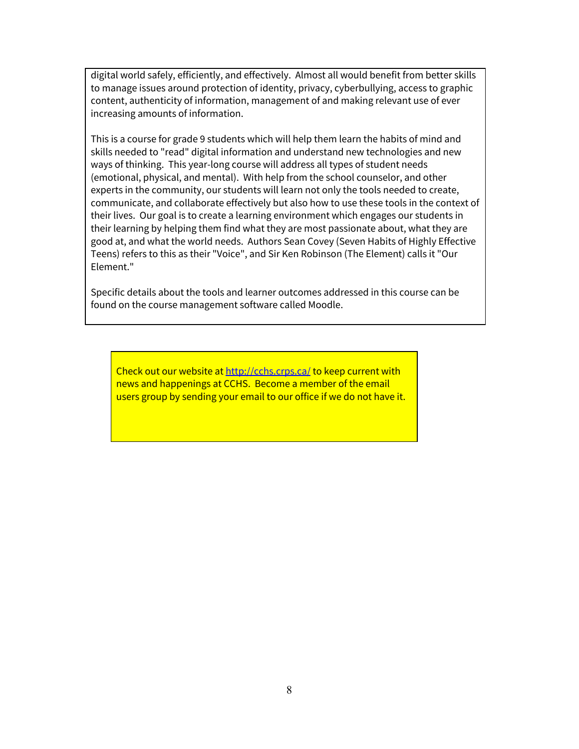digital world safely, efficiently, and effectively. Almost all would benefit from better skills to manage issues around protection of identity, privacy, cyberbullying, access to graphic content, authenticity of information, management of and making relevant use of ever increasing amounts of information.

This is a course for grade 9 students which will help them learn the habits of mind and skills needed to "read" digital information and understand new technologies and new ways of thinking. This year-long course will address all types of student needs (emotional, physical, and mental). With help from the school counselor, and other experts in the community, our students will learn not only the tools needed to create, communicate, and collaborate effectively but also how to use these tools in the context of their lives. Our goal is to create a learning environment which engages our students in their learning by helping them find what they are most passionate about, what they are good at, and what the world needs. Authors Sean Covey (Seven Habits of Highly Effective Teens) refers to this as their "Voice", and Sir Ken Robinson (The Element) calls it "Our Element."

Specific details about the tools and learner outcomes addressed in this course can be found on the course management software called Moodle.

Check out our website at <http://cchs.crps.ca/> to keep current with news and happenings at CCHS. Become a member of the email users group by sending your email to our office if we do not have it.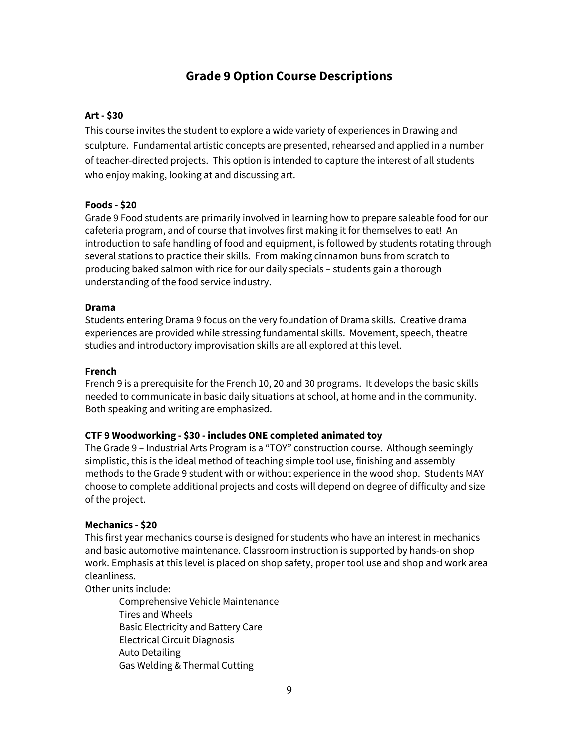# **Grade 9 Option Course Descriptions**

#### **Art - \$30**

This course invites the student to explore a wide variety of experiences in Drawing and sculpture. Fundamental artistic concepts are presented, rehearsed and applied in a number of teacher-directed projects. This option is intended to capture the interest of all students who enjoy making, looking at and discussing art.

#### **Foods - \$20**

Grade 9 Food students are primarily involved in learning how to prepare saleable food for our cafeteria program, and of course that involves first making it for themselves to eat! An introduction to safe handling of food and equipment, is followed by students rotating through several stations to practice their skills. From making cinnamon buns from scratch to producing baked salmon with rice for our daily specials – students gain a thorough understanding of the food service industry.

#### **Drama**

Students entering Drama 9 focus on the very foundation of Drama skills. Creative drama experiences are provided while stressing fundamental skills. Movement, speech, theatre studies and introductory improvisation skills are all explored at this level.

#### **French**

French 9 is a prerequisite for the French 10, 20 and 30 programs. It develops the basic skills needed to communicate in basic daily situations at school, at home and in the community. Both speaking and writing are emphasized.

#### **CTF 9 Woodworking - \$30 - includes ONE completed animated toy**

The Grade 9 – Industrial Arts Program is a "TOY" construction course. Although seemingly simplistic, this is the ideal method of teaching simple tool use, finishing and assembly methods to the Grade 9 student with or without experience in the wood shop. Students MAY choose to complete additional projects and costs will depend on degree of difficulty and size of the project.

#### **Mechanics - \$20**

This first year mechanics course is designed for students who have an interest in mechanics and basic automotive maintenance. Classroom instruction is supported by hands-on shop work. Emphasis at this level is placed on shop safety, proper tool use and shop and work area cleanliness.

Other units include:

Comprehensive Vehicle Maintenance Tires and Wheels Basic Electricity and Battery Care Electrical Circuit Diagnosis Auto Detailing Gas Welding & Thermal Cutting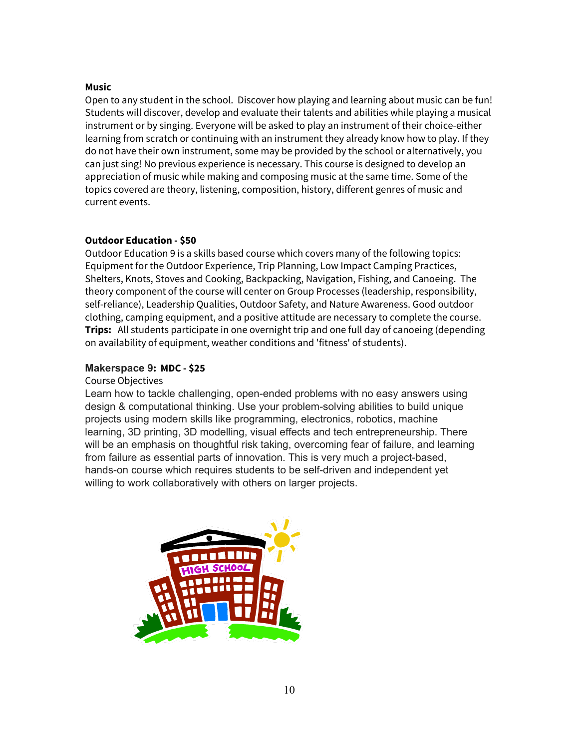#### **Music**

Open to any student in the school. Discover how playing and learning about music can be fun! Students will discover, develop and evaluate their talents and abilities while playing a musical instrument or by singing. Everyone will be asked to play an instrument of their choice-either learning from scratch or continuing with an instrument they already know how to play. If they do not have their own instrument, some may be provided by the school or alternatively, you can just sing! No previous experience is necessary. This course is designed to develop an appreciation of music while making and composing music at the same time. Some of the topics covered are theory, listening, composition, history, different genres of music and current events.

#### **Outdoor Education - \$50**

Outdoor Education 9 is a skills based course which covers many of the following topics: Equipment for the Outdoor Experience, Trip Planning, Low Impact Camping Practices, Shelters, Knots, Stoves and Cooking, Backpacking, Navigation, Fishing, and Canoeing. The theory component of the course will center on Group Processes (leadership, responsibility, self-reliance), Leadership Qualities, Outdoor Safety, and Nature Awareness. Good outdoor clothing, camping equipment, and a positive attitude are necessary to complete the course. **Trips:** All students participate in one overnight trip and one full day of canoeing (depending on availability of equipment, weather conditions and 'fitness' of students).

#### **Makerspace 9: MDC - \$25**

#### Course Objectives

Learn how to tackle challenging, open-ended problems with no easy answers using design & computational thinking. Use your problem-solving abilities to build unique projects using modern skills like programming, electronics, robotics, machine learning, 3D printing, 3D modelling, visual effects and tech entrepreneurship. There will be an emphasis on thoughtful risk taking, overcoming fear of failure, and learning from failure as essential parts of innovation. This is very much a project-based, hands-on course which requires students to be self-driven and independent yet willing to work collaboratively with others on larger projects.